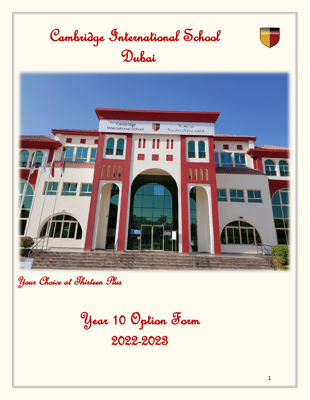

Your Choice at Thirteen Plus

Year 10 Option Form

2022-2023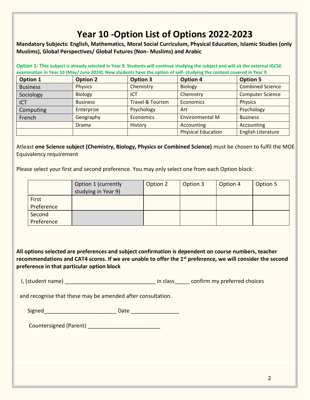## **Year 10 -Option List of Options 2022-2023**

**Mandatory Subjects: English, Mathematics, Moral Social Curriculum, Physical Education, Islamic Studies (only Muslims), Global Perspectives/ Global Futures (Non- Muslims) and Arabic** 

**Option 1: This subject is already selected in Year 9. Students will continue studying the subject and will sit the external IGCSE examination in Year 10 (May/ June 2024). New students have the option of self- studying the content covered in Year 9.** 

| <b>Option 1</b> | <b>Option 2</b> | <b>Option 3</b>             | <b>Option 4</b>           | <b>Option 5</b>           |
|-----------------|-----------------|-----------------------------|---------------------------|---------------------------|
| <b>Business</b> | <b>Physics</b>  | Chemistry                   | <b>Biology</b>            | <b>Combined Science</b>   |
| Sociology       | <b>Biology</b>  | <b>ICT</b>                  | Chemistry                 | <b>Computer Science</b>   |
| <b>ICT</b>      | <b>Business</b> | <b>Travel &amp; Tourism</b> | Economics                 | Physics                   |
| Computing       | Enterprise      | Psychology                  | Art                       | Psychology                |
| French          | Geography       | <b>Economics</b>            | <b>Environmental M</b>    | <b>Business</b>           |
|                 | <b>Drama</b>    | History                     | Accounting                | Accounting                |
|                 |                 |                             | <b>Physical Education</b> | <b>English Literature</b> |

Atleast **one Science subject (Chemistry, Biology, Physics or Combined Science)** must be chosen to fulfil the MOE Equivalency requirement

Please select your first and second preference. You may only select one from each Option block:

| Option 1 (currently<br>studying in Year 9) | Option 2 | Option 3 | Option 4 | Option 5 |
|--------------------------------------------|----------|----------|----------|----------|
|                                            |          |          |          |          |
|                                            |          |          |          |          |
|                                            |          |          |          |          |

**All options selected are preferences and subject confirmation is dependent on course numbers, teacher recommendations and CAT4 scores. If we are unable to offer the 1st preference, we will consider the second preference in that particular option block**

I, (student name) \_\_\_\_\_\_\_\_\_\_\_\_\_\_\_\_\_\_\_\_\_\_\_\_\_\_\_\_\_\_\_\_\_\_ in class\_\_\_\_\_\_ confirm my preferred choices

and recognise that these may be amended after consultation.

| . . |  |  |
|-----|--|--|
| -   |  |  |

Countersigned (Parent) \_\_\_\_\_\_\_\_\_\_\_\_\_\_\_\_\_\_\_\_\_\_\_\_